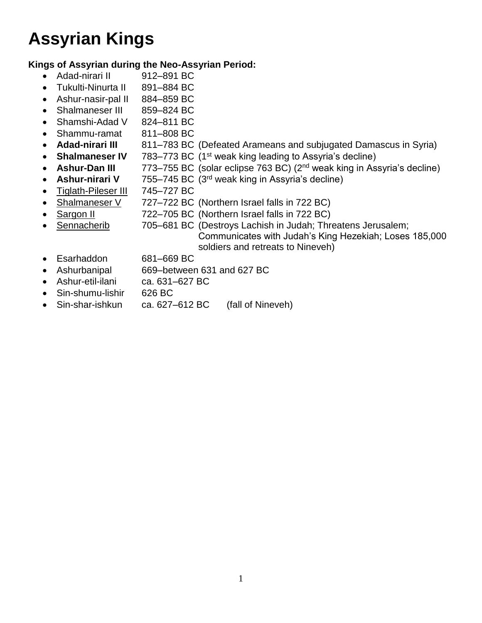## **Assyrian Kings**

## **Kings of Assyrian during the Neo-Assyrian Period:**

- Adad-nirari II 912–891 BC
- Tukulti-Ninurta II 891–884 BC
- Ashur-nasir-pal II 884-859 BC
- Shalmaneser III 859-824 BC
- Shamshi-Adad V 824-811 BC
- Shammu-ramat 811–808 BC
- **Adad-nirari III** 811–783 BC (Defeated Arameans and subjugated Damascus in Syria)
- **Shalmaneser IV** 783–773 BC (1<sup>st</sup> weak king leading to Assyria's decline)
- **Ashur-Dan III** 773–755 BC (solar eclipse 763 BC) (2<sup>nd</sup> weak king in Assyria's decline)
- **Ashur-nirari V** 755–745 BC (3rd weak king in Assyria's decline)
- Tiglath-Pileser III 745-727 BC
- Shalmaneser V 727–722 BC (Northern Israel falls in 722 BC)
- Sargon II 722–705 BC (Northern Israel falls in 722 BC)
- Sennacherib 705–681 BC (Destroys Lachish in Judah; Threatens Jerusalem; Communicates with Judah's King Hezekiah; Loses 185,000 soldiers and retreats to Nineveh)
- Esarhaddon 681–669 BC
- Ashurbanipal 669–between 631 and 627 BC
- Ashur-etil-ilani ca. 631–627 BC
- Sin-shumu-lishir 626 BC
- Sin-shar-ishkun ca. 627–612 BC (fall of Nineveh)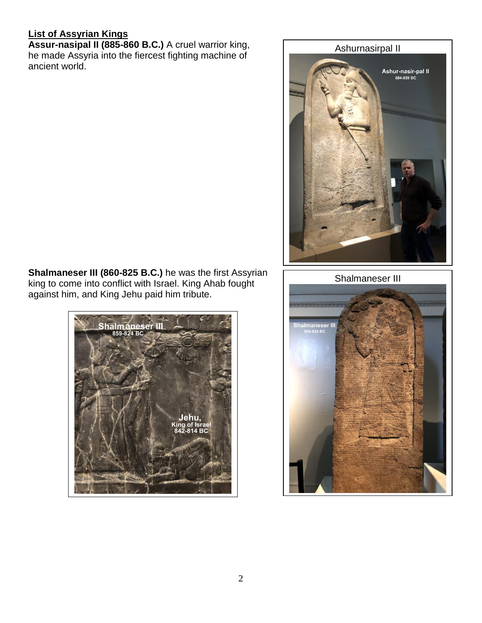## **List of Assyrian Kings**

**Assur-nasipal II (885-860 B.C.)** A cruel warrior king, he made Assyria into the fiercest fighting machine of ancient world.



**Shalmaneser III (860-825 B.C.)** he was the first Assyrian king to come into conflict with Israel. King Ahab fought against him, and King Jehu paid him tribute.



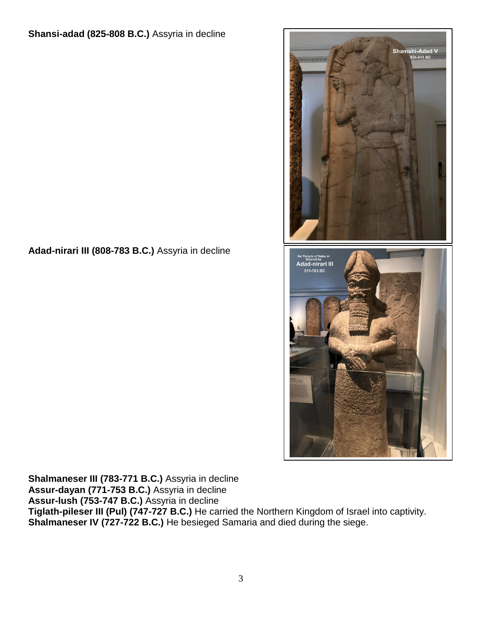## **Adad-nirari III (808-783 B.C.)** Assyria in decline



**Shalmaneser III (783-771 B.C.)** Assyria in decline **Assur-dayan (771-753 B.C.)** Assyria in decline **Assur-lush (753-747 B.C.)** Assyria in decline **Tiglath-pileser III (Pul) (747-727 B.C.)** He carried the Northern Kingdom of Israel into captivity. **Shalmaneser IV (727-722 B.C.)** He besieged Samaria and died during the siege.